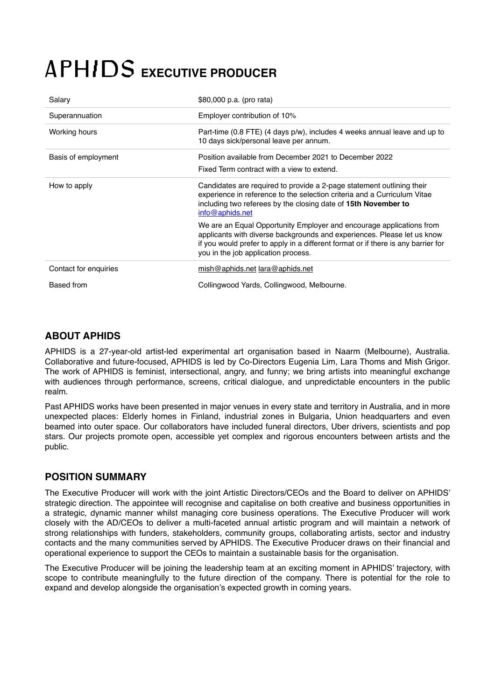# **APHIDS EXECUTIVE PRODUCER**

| Salary                | \$80,000 p.a. (pro rata)                                                                                                                                                                                                                                                    |
|-----------------------|-----------------------------------------------------------------------------------------------------------------------------------------------------------------------------------------------------------------------------------------------------------------------------|
| Superannuation        | Employer contribution of 10%                                                                                                                                                                                                                                                |
| Working hours         | Part-time (0.8 FTE) (4 days p/w), includes 4 weeks annual leave and up to<br>10 days sick/personal leave per annum.                                                                                                                                                         |
| Basis of employment   | Position available from December 2021 to December 2022<br>Fixed Term contract with a view to extend.                                                                                                                                                                        |
| How to apply          | Candidates are required to provide a 2-page statement outlining their<br>experience in reference to the selection criteria and a Curriculum Vitae<br>including two referees by the closing date of 15th November to<br>info@aphids.net                                      |
|                       | We are an Equal Opportunity Employer and encourage applications from<br>applicants with diverse backgrounds and experiences. Please let us know<br>if you would prefer to apply in a different format or if there is any barrier for<br>you in the job application process. |
| Contact for enquiries | mish@aphids.net lara@aphids.net                                                                                                                                                                                                                                             |
| Based from            | Collingwood Yards, Collingwood, Melbourne.                                                                                                                                                                                                                                  |

# **ABOUT APHIDS**

APHIDS is a 27-year-old artist-led experimental art organisation based in Naarm (Melbourne), Australia. Collaborative and future-focused, APHIDS is led by Co-Directors Eugenia Lim, Lara Thoms and Mish Grigor. The work of APHIDS is feminist, intersectional, angry, and funny; we bring artists into meaningful exchange with audiences through performance, screens, critical dialogue, and unpredictable encounters in the public realm.

Past APHIDS works have been presented in major venues in every state and territory in Australia, and in more unexpected places: Elderly homes in Finland, industrial zones in Bulgaria, Union headquarters and even beamed into outer space. Our collaborators have included funeral directors, Uber drivers, scientists and pop stars. Our projects promote open, accessible yet complex and rigorous encounters between artists and the public.

## **POSITION SUMMARY**

The Executive Producer will work with the joint Artistic Directors/CEOs and the Board to deliver on APHIDS' strategic direction. The appointee will recognise and capitalise on both creative and business opportunities in a strategic, dynamic manner whilst managing core business operations. The Executive Producer will work closely with the AD/CEOs to deliver a multi-faceted annual artistic program and will maintain a network of strong relationships with funders, stakeholders, community groups, collaborating artists, sector and industry contacts and the many communities served by APHIDS. The Executive Producer draws on their financial and operational experience to support the CEOs to maintain a sustainable basis for the organisation.

The Executive Producer will be joining the leadership team at an exciting moment in APHIDS' trajectory, with scope to contribute meaningfully to the future direction of the company. There is potential for the role to expand and develop alongside the organisation's expected growth in coming years.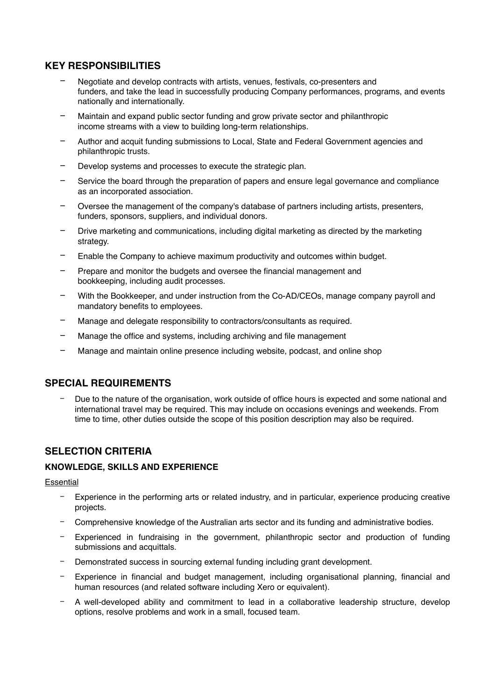# **KEY RESPONSIBILITIES**

- − Negotiate and develop contracts with artists, venues, festivals, co-presenters and funders, and take the lead in successfully producing Company performances, programs, and events nationally and internationally.
- − Maintain and expand public sector funding and grow private sector and philanthropic income streams with a view to building long-term relationships.
- − Author and acquit funding submissions to Local, State and Federal Government agencies and philanthropic trusts.
- Develop systems and processes to execute the strategic plan.
- Service the board through the preparation of papers and ensure legal governance and compliance as an incorporated association.
- − Oversee the management of the company's database of partners including artists, presenters, funders, sponsors, suppliers, and individual donors.
- Drive marketing and communications, including digital marketing as directed by the marketing strategy.
- − Enable the Company to achieve maximum productivity and outcomes within budget.
- Prepare and monitor the budgets and oversee the financial management and bookkeeping, including audit processes.
- With the Bookkeeper, and under instruction from the Co-AD/CEOs, manage company payroll and mandatory benefits to employees.
- − Manage and delegate responsibility to contractors/consultants as required.
- − Manage the office and systems, including archiving and file management
- − Manage and maintain online presence including website, podcast, and online shop

## **SPECIAL REQUIREMENTS**

Due to the nature of the organisation, work outside of office hours is expected and some national and international travel may be required. This may include on occasions evenings and weekends. From time to time, other duties outside the scope of this position description may also be required.

## **SELECTION CRITERIA**

#### **KNOWLEDGE, SKILLS AND EXPERIENCE**

#### **Essential**

- − Experience in the performing arts or related industry, and in particular, experience producing creative projects.
- − Comprehensive knowledge of the Australian arts sector and its funding and administrative bodies.
- Experienced in fundraising in the government, philanthropic sector and production of funding submissions and acquittals.
- Demonstrated success in sourcing external funding including grant development.
- Experience in financial and budget management, including organisational planning, financial and human resources (and related software including Xero or equivalent).
- − A well-developed ability and commitment to lead in a collaborative leadership structure, develop options, resolve problems and work in a small, focused team.